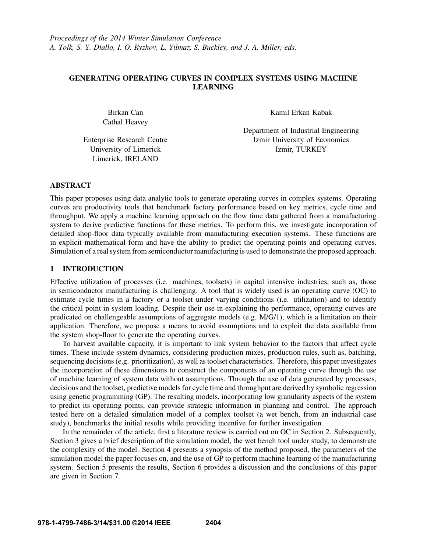# GENERATING OPERATING CURVES IN COMPLEX SYSTEMS USING MACHINE LEARNING

Birkan Can Cathal Heavey

Enterprise Research Centre University of Limerick Limerick, IRELAND

Kamil Erkan Kabak

Department of Industrial Engineering Izmir University of Economics Izmir, TURKEY

#### ABSTRACT

This paper proposes using data analytic tools to generate operating curves in complex systems. Operating curves are productivity tools that benchmark factory performance based on key metrics, cycle time and throughput. We apply a machine learning approach on the flow time data gathered from a manufacturing system to derive predictive functions for these metrics. To perform this, we investigate incorporation of detailed shop-floor data typically available from manufacturing execution systems. These functions are in explicit mathematical form and have the ability to predict the operating points and operating curves. Simulation of a real system from semiconductor manufacturing is used to demonstrate the proposed approach.

#### 1 INTRODUCTION

Effective utilization of processes (i.e. machines, toolsets) in capital intensive industries, such as, those in semiconductor manufacturing is challenging. A tool that is widely used is an operating curve (OC) to estimate cycle times in a factory or a toolset under varying conditions (i.e. utilization) and to identify the critical point in system loading. Despite their use in explaining the performance, operating curves are predicated on challengeable assumptions of aggregate models (e.g. M/G/1), which is a limitation on their application. Therefore, we propose a means to avoid assumptions and to exploit the data available from the system shop-floor to generate the operating curves.

To harvest available capacity, it is important to link system behavior to the factors that affect cycle times. These include system dynamics, considering production mixes, production rules, such as, batching, sequencing decisions (e.g. prioritization), as well as toolset characteristics. Therefore, this paper investigates the incorporation of these dimensions to construct the components of an operating curve through the use of machine learning of system data without assumptions. Through the use of data generated by processes, decisions and the toolset, predictive models for cycle time and throughput are derived by symbolic regression using genetic programming (GP). The resulting models, incorporating low granularity aspects of the system to predict its operating points, can provide strategic information in planning and control. The approach tested here on a detailed simulation model of a complex toolset (a wet bench, from an industrial case study), benchmarks the initial results while providing incentive for further investigation.

In the remainder of the article, first a literature review is carried out on OC in Section 2. Subsequently, Section 3 gives a brief description of the simulation model, the wet bench tool under study, to demonstrate the complexity of the model. Section 4 presents a synopsis of the method proposed, the parameters of the simulation model the paper focuses on, and the use of GP to perform machine learning of the manufacturing system. Section 5 presents the results, Section 6 provides a discussion and the conclusions of this paper are given in Section 7.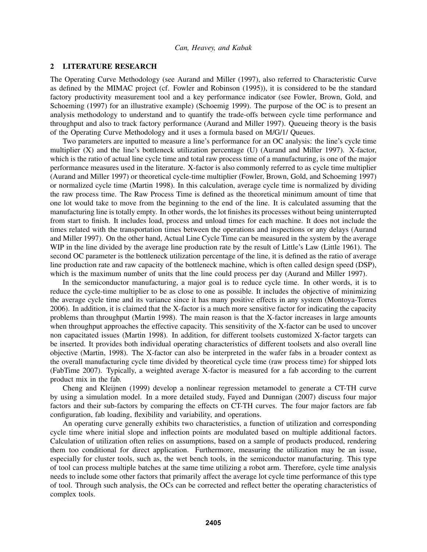#### 2 LITERATURE RESEARCH

The Operating Curve Methodology (see Aurand and Miller (1997), also referred to Characteristic Curve as defined by the MIMAC project (cf. Fowler and Robinson (1995)), it is considered to be the standard factory productivity measurement tool and a key performance indicator (see Fowler, Brown, Gold, and Schoeming (1997) for an illustrative example) (Schoemig 1999). The purpose of the OC is to present an analysis methodology to understand and to quantify the trade-offs between cycle time performance and throughput and also to track factory performance (Aurand and Miller 1997). Queueing theory is the basis of the Operating Curve Methodology and it uses a formula based on M/G/1/ Queues.

Two parameters are inputted to measure a line's performance for an OC analysis: the line's cycle time multiplier (X) and the line's bottleneck utilization percentage (U) (Aurand and Miller 1997). X-factor, which is the ratio of actual line cycle time and total raw process time of a manufacturing, is one of the major performance measures used in the literature. X-factor is also commonly referred to as cycle time multiplier (Aurand and Miller 1997) or theoretical cycle-time multiplier (Fowler, Brown, Gold, and Schoeming 1997) or normalized cycle time (Martin 1998). In this calculation, average cycle time is normalized by dividing the raw process time. The Raw Process Time is defined as the theoretical minimum amount of time that one lot would take to move from the beginning to the end of the line. It is calculated assuming that the manufacturing line is totally empty. In other words, the lot finishes its processes without being uninterrupted from start to finish. It includes load, process and unload times for each machine. It does not include the times related with the transportation times between the operations and inspections or any delays (Aurand and Miller 1997). On the other hand, Actual Line Cycle Time can be measured in the system by the average WIP in the line divided by the average line production rate by the result of Little's Law (Little 1961). The second OC parameter is the bottleneck utilization percentage of the line, it is defined as the ratio of average line production rate and raw capacity of the bottleneck machine, which is often called design speed (DSP), which is the maximum number of units that the line could process per day (Aurand and Miller 1997).

In the semiconductor manufacturing, a major goal is to reduce cycle time. In other words, it is to reduce the cycle-time multiplier to be as close to one as possible. It includes the objective of minimizing the average cycle time and its variance since it has many positive effects in any system (Montoya-Torres 2006). In addition, it is claimed that the X-factor is a much more sensitive factor for indicating the capacity problems than throughput (Martin 1998). The main reason is that the X-factor increases in large amounts when throughput approaches the effective capacity. This sensitivity of the X-factor can be used to uncover non capacitated issues (Martin 1998). In addition, for different toolsets customized X-factor targets can be inserted. It provides both individual operating characteristics of different toolsets and also overall line objective (Martin, 1998). The X-factor can also be interpreted in the wafer fabs in a broader context as the overall manufacturing cycle time divided by theoretical cycle time (raw process time) for shipped lots (FabTime 2007). Typically, a weighted average X-factor is measured for a fab according to the current product mix in the fab.

Cheng and Kleijnen (1999) develop a nonlinear regression metamodel to generate a CT-TH curve by using a simulation model. In a more detailed study, Fayed and Dunnigan (2007) discuss four major factors and their sub-factors by comparing the effects on CT-TH curves. The four major factors are fab configuration, fab loading, flexibility and variability, and operations.

An operating curve generally exhibits two characteristics, a function of utilization and corresponding cycle time where initial slope and inflection points are modulated based on multiple additional factors. Calculation of utilization often relies on assumptions, based on a sample of products produced, rendering them too conditional for direct application. Furthermore, measuring the utilization may be an issue, especially for cluster tools, such as, the wet bench tools, in the semiconductor manufacturing. This type of tool can process multiple batches at the same time utilizing a robot arm. Therefore, cycle time analysis needs to include some other factors that primarily affect the average lot cycle time performance of this type of tool. Through such analysis, the OCs can be corrected and reflect better the operating characteristics of complex tools.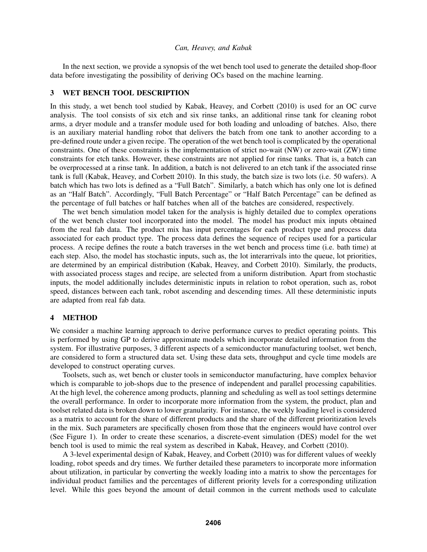In the next section, we provide a synopsis of the wet bench tool used to generate the detailed shop-floor data before investigating the possibility of deriving OCs based on the machine learning.

#### 3 WET BENCH TOOL DESCRIPTION

In this study, a wet bench tool studied by Kabak, Heavey, and Corbett (2010) is used for an OC curve analysis. The tool consists of six etch and six rinse tanks, an additional rinse tank for cleaning robot arms, a dryer module and a transfer module used for both loading and unloading of batches. Also, there is an auxiliary material handling robot that delivers the batch from one tank to another according to a pre-defined route under a given recipe. The operation of the wet bench tool is complicated by the operational constraints. One of these constraints is the implementation of strict no-wait (NW) or zero-wait (ZW) time constraints for etch tanks. However, these constraints are not applied for rinse tanks. That is, a batch can be overprocessed at a rinse tank. In addition, a batch is not delivered to an etch tank if the associated rinse tank is full (Kabak, Heavey, and Corbett 2010). In this study, the batch size is two lots (i.e. 50 wafers). A batch which has two lots is defined as a "Full Batch". Similarly, a batch which has only one lot is defined as an "Half Batch". Accordingly, "Full Batch Percentage" or "Half Batch Percentage" can be defined as the percentage of full batches or half batches when all of the batches are considered, respectively.

The wet bench simulation model taken for the analysis is highly detailed due to complex operations of the wet bench cluster tool incorporated into the model. The model has product mix inputs obtained from the real fab data. The product mix has input percentages for each product type and process data associated for each product type. The process data defines the sequence of recipes used for a particular process. A recipe defines the route a batch traverses in the wet bench and process time (i.e. bath time) at each step. Also, the model has stochastic inputs, such as, the lot interarrivals into the queue, lot priorities, are determined by an empirical distribution (Kabak, Heavey, and Corbett 2010). Similarly, the products, with associated process stages and recipe, are selected from a uniform distribution. Apart from stochastic inputs, the model additionally includes deterministic inputs in relation to robot operation, such as, robot speed, distances between each tank, robot ascending and descending times. All these deterministic inputs are adapted from real fab data.

#### 4 METHOD

We consider a machine learning approach to derive performance curves to predict operating points. This is performed by using GP to derive approximate models which incorporate detailed information from the system. For illustrative purposes, 3 different aspects of a semiconductor manufacturing toolset, wet bench, are considered to form a structured data set. Using these data sets, throughput and cycle time models are developed to construct operating curves.

Toolsets, such as, wet bench or cluster tools in semiconductor manufacturing, have complex behavior which is comparable to job-shops due to the presence of independent and parallel processing capabilities. At the high level, the coherence among products, planning and scheduling as well as tool settings determine the overall performance. In order to incorporate more information from the system, the product, plan and toolset related data is broken down to lower granularity. For instance, the weekly loading level is considered as a matrix to account for the share of different products and the share of the different prioritization levels in the mix. Such parameters are specifically chosen from those that the engineers would have control over (See Figure 1). In order to create these scenarios, a discrete-event simulation (DES) model for the wet bench tool is used to mimic the real system as described in Kabak, Heavey, and Corbett (2010).

A 3-level experimental design of Kabak, Heavey, and Corbett (2010) was for different values of weekly loading, robot speeds and dry times. We further detailed these parameters to incorporate more information about utilization, in particular by converting the weekly loading into a matrix to show the percentages for individual product families and the percentages of different priority levels for a corresponding utilization level. While this goes beyond the amount of detail common in the current methods used to calculate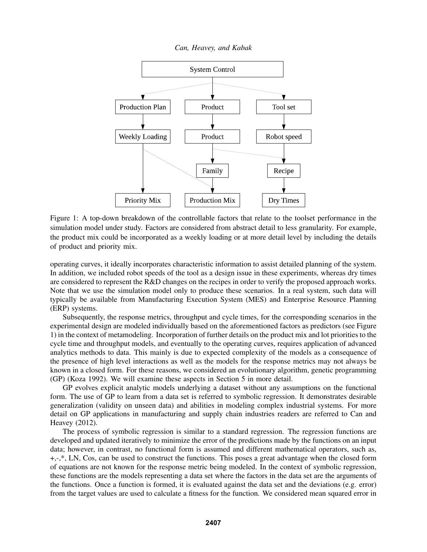*Can, Heavey, and Kabak*



Figure 1: A top-down breakdown of the controllable factors that relate to the toolset performance in the simulation model under study. Factors are considered from abstract detail to less granularity. For example, the product mix could be incorporated as a weekly loading or at more detail level by including the details of product and priority mix.

operating curves, it ideally incorporates characteristic information to assist detailed planning of the system. In addition, we included robot speeds of the tool as a design issue in these experiments, whereas dry times are considered to represent the R&D changes on the recipes in order to verify the proposed approach works. Note that we use the simulation model only to produce these scenarios. In a real system, such data will typically be available from Manufacturing Execution System (MES) and Enterprise Resource Planning (ERP) systems.

Subsequently, the response metrics, throughput and cycle times, for the corresponding scenarios in the experimental design are modeled individually based on the aforementioned factors as predictors (see Figure 1) in the context of metamodeling. Incorporation of further details on the product mix and lot priorities to the cycle time and throughput models, and eventually to the operating curves, requires application of advanced analytics methods to data. This mainly is due to expected complexity of the models as a consequence of the presence of high level interactions as well as the models for the response metrics may not always be known in a closed form. For these reasons, we considered an evolutionary algorithm, genetic programming (GP) (Koza 1992). We will examine these aspects in Section 5 in more detail.

GP evolves explicit analytic models underlying a dataset without any assumptions on the functional form. The use of GP to learn from a data set is referred to symbolic regression. It demonstrates desirable generalization (validity on unseen data) and abilities in modeling complex industrial systems. For more detail on GP applications in manufacturing and supply chain industries readers are referred to Can and Heavey (2012).

The process of symbolic regression is similar to a standard regression. The regression functions are developed and updated iteratively to minimize the error of the predictions made by the functions on an input data; however, in contrast, no functional form is assumed and different mathematical operators, such as, +,-,\*, LN, Cos, can be used to construct the functions. This poses a great advantage when the closed form of equations are not known for the response metric being modeled. In the context of symbolic regression, these functions are the models representing a data set where the factors in the data set are the arguments of the functions. Once a function is formed, it is evaluated against the data set and the deviations (e.g. error) from the target values are used to calculate a fitness for the function. We considered mean squared error in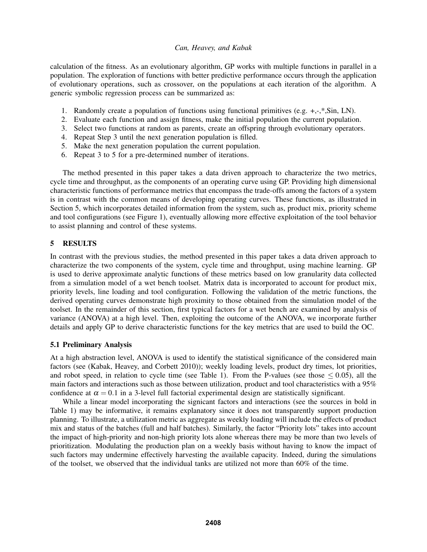calculation of the fitness. As an evolutionary algorithm, GP works with multiple functions in parallel in a population. The exploration of functions with better predictive performance occurs through the application of evolutionary operations, such as crossover, on the populations at each iteration of the algorithm. A generic symbolic regression process can be summarized as:

- 1. Randomly create a population of functions using functional primitives (e.g. +,-,\*,Sin, LN).
- 2. Evaluate each function and assign fitness, make the initial population the current population.
- 3. Select two functions at random as parents, create an offspring through evolutionary operators.
- 4. Repeat Step 3 until the next generation population is filled.
- 5. Make the next generation population the current population.
- 6. Repeat 3 to 5 for a pre-determined number of iterations.

The method presented in this paper takes a data driven approach to characterize the two metrics, cycle time and throughput, as the components of an operating curve using GP. Providing high dimensional characteristic functions of performance metrics that encompass the trade-offs among the factors of a system is in contrast with the common means of developing operating curves. These functions, as illustrated in Section 5, which incorporates detailed information from the system, such as, product mix, priority scheme and tool configurations (see Figure 1), eventually allowing more effective exploitation of the tool behavior to assist planning and control of these systems.

# 5 RESULTS

In contrast with the previous studies, the method presented in this paper takes a data driven approach to characterize the two components of the system, cycle time and throughput, using machine learning. GP is used to derive approximate analytic functions of these metrics based on low granularity data collected from a simulation model of a wet bench toolset. Matrix data is incorporated to account for product mix, priority levels, line loading and tool configuration. Following the validation of the metric functions, the derived operating curves demonstrate high proximity to those obtained from the simulation model of the toolset. In the remainder of this section, first typical factors for a wet bench are examined by analysis of variance (ANOVA) at a high level. Then, exploiting the outcome of the ANOVA, we incorporate further details and apply GP to derive characteristic functions for the key metrics that are used to build the OC.

# 5.1 Preliminary Analysis

At a high abstraction level, ANOVA is used to identify the statistical significance of the considered main factors (see (Kabak, Heavey, and Corbett 2010)); weekly loading levels, product dry times, lot priorities, and robot speed, in relation to cycle time (see Table 1). From the P-values (see those  $\leq 0.05$ ), all the main factors and interactions such as those between utilization, product and tool characteristics with a 95% confidence at  $\alpha = 0.1$  in a 3-level full factorial experimental design are statistically significant.

While a linear model incorporating the signicant factors and interactions (see the sources in bold in Table 1) may be informative, it remains explanatory since it does not transparently support production planning. To illustrate, a utilization metric as aggregate as weekly loading will include the effects of product mix and status of the batches (full and half batches). Similarly, the factor "Priority lots" takes into account the impact of high-priority and non-high priority lots alone whereas there may be more than two levels of prioritization. Modulating the production plan on a weekly basis without having to know the impact of such factors may undermine effectively harvesting the available capacity. Indeed, during the simulations of the toolset, we observed that the individual tanks are utilized not more than 60% of the time.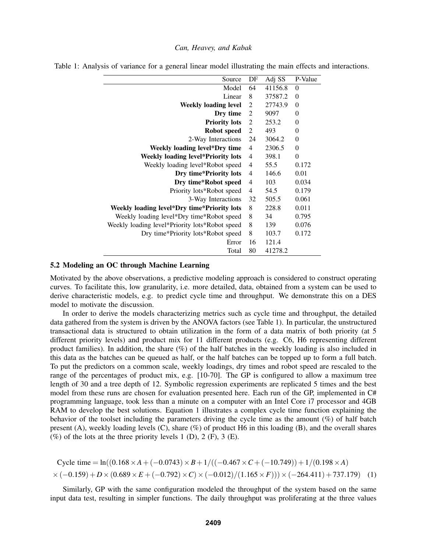| Source                                         | DF             | Adj SS  | P-Value          |
|------------------------------------------------|----------------|---------|------------------|
| Model                                          | 64             | 41156.8 | $\theta$         |
| Linear                                         | 8              | 37587.2 | $\theta$         |
| <b>Weekly loading level</b>                    | 2              | 27743.9 | $\theta$         |
| Dry time                                       | $\overline{c}$ | 9097    | $\boldsymbol{0}$ |
| <b>Priority lots</b>                           | 2              | 253.2   | $\theta$         |
| Robot speed                                    | 2              | 493     | $\theta$         |
| 2-Way Interactions                             | 24             | 3064.2  | $\overline{0}$   |
| Weekly loading level*Dry time                  | $\overline{4}$ | 2306.5  | $\overline{0}$   |
| <b>Weekly loading level*Priority lots</b>      | 4              | 398.1   | $\theta$         |
| Weekly loading level*Robot speed               | $\overline{4}$ | 55.5    | 0.172            |
| Dry time*Priority lots                         | $\overline{4}$ | 146.6   | 0.01             |
| Dry time*Robot speed                           | 4              | 103     | 0.034            |
| Priority lots*Robot speed                      | 4              | 54.5    | 0.179            |
| 3-Way Interactions                             | 32             | 505.5   | 0.061            |
| Weekly loading level*Dry time*Priority lots    | 8              | 228.8   | 0.011            |
| Weekly loading level*Dry time*Robot speed      | 8              | 34      | 0.795            |
| Weekly loading level*Priority lots*Robot speed | 8              | 139     | 0.076            |
| Dry time*Priority lots*Robot speed             | 8              | 103.7   | 0.172            |
| Error                                          | 16             | 121.4   |                  |
| Total                                          | 80             | 41278.2 |                  |

Table 1: Analysis of variance for a general linear model illustrating the main effects and interactions.

#### 5.2 Modeling an OC through Machine Learning

Motivated by the above observations, a predictive modeling approach is considered to construct operating curves. To facilitate this, low granularity, i.e. more detailed, data, obtained from a system can be used to derive characteristic models, e.g. to predict cycle time and throughput. We demonstrate this on a DES model to motivate the discussion.

In order to derive the models characterizing metrics such as cycle time and throughput, the detailed data gathered from the system is driven by the ANOVA factors (see Table 1). In particular, the unstructured transactional data is structured to obtain utilization in the form of a data matrix of both priority (at 5 different priority levels) and product mix for 11 different products (e.g. C6, H6 representing different product families). In addition, the share  $(\%)$  of the half batches in the weekly loading is also included in this data as the batches can be queued as half, or the half batches can be topped up to form a full batch. To put the predictors on a common scale, weekly loadings, dry times and robot speed are rescaled to the range of the percentages of product mix, e.g. [10-70]. The GP is configured to allow a maximum tree length of 30 and a tree depth of 12. Symbolic regression experiments are replicated 5 times and the best model from these runs are chosen for evaluation presented here. Each run of the GP, implemented in C# programming language, took less than a minute on a computer with an Intel Core i7 processor and 4GB RAM to develop the best solutions. Equation 1 illustrates a complex cycle time function explaining the behavior of the toolset including the parameters driving the cycle time as the amount  $(\%)$  of half batch present (A), weekly loading levels (C), share  $(\%)$  of product H6 in this loading (B), and the overall shares  $(\%)$  of the lots at the three priority levels 1 (D), 2 (F), 3 (E).

Cycle time = ln((0.168×*A*+ (−0.0743)×*B*+1/((−0.467×*C* + (−10.749)) +1/(0.198×*A*) ×(−0.159) +*D*×(0.689×*E* + (−0.792)×*C*)×(−0.012)/(1.165×*F*)))×(−264.411) +737.179) (1)

Similarly, GP with the same configuration modeled the throughput of the system based on the same input data test, resulting in simpler functions. The daily throughput was proliferating at the three values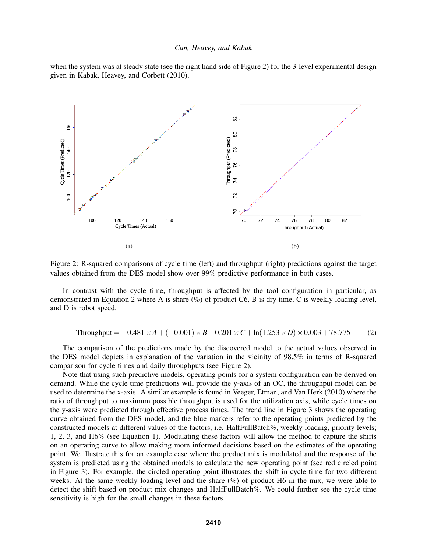when the system was at steady state (see the right hand side of Figure 2) for the 3-level experimental design given in Kabak, Heavey, and Corbett (2010).



Figure 2: R-squared comparisons of cycle time (left) and throughput (right) predictions against the target values obtained from the DES model show over 99% predictive performance in both cases.

In contrast with the cycle time, throughput is affected by the tool configuration in particular, as demonstrated in Equation 2 where A is share (%) of product C6, B is dry time, C is weekly loading level, and D is robot speed.

Throughout = 
$$
-0.481 \times A + (-0.001) \times B + 0.201 \times C + \ln(1.253 \times D) \times 0.003 + 78.775
$$
 (2)

The comparison of the predictions made by the discovered model to the actual values observed in the DES model depicts in explanation of the variation in the vicinity of 98.5% in terms of R-squared comparison for cycle times and daily throughputs (see Figure 2).

Note that using such predictive models, operating points for a system configuration can be derived on demand. While the cycle time predictions will provide the y-axis of an OC, the throughput model can be used to determine the x-axis. A similar example is found in Veeger, Etman, and Van Herk (2010) where the ratio of throughput to maximum possible throughput is used for the utilization axis, while cycle times on the y-axis were predicted through effective process times. The trend line in Figure 3 shows the operating curve obtained from the DES model, and the blue markers refer to the operating points predicted by the constructed models at different values of the factors, i.e. HalfFullBatch%, weekly loading, priority levels; 1, 2, 3, and H6% (see Equation 1). Modulating these factors will allow the method to capture the shifts on an operating curve to allow making more informed decisions based on the estimates of the operating point. We illustrate this for an example case where the product mix is modulated and the response of the system is predicted using the obtained models to calculate the new operating point (see red circled point in Figure 3). For example, the circled operating point illustrates the shift in cycle time for two different weeks. At the same weekly loading level and the share  $(\%)$  of product H6 in the mix, we were able to detect the shift based on product mix changes and HalfFullBatch%. We could further see the cycle time sensitivity is high for the small changes in these factors.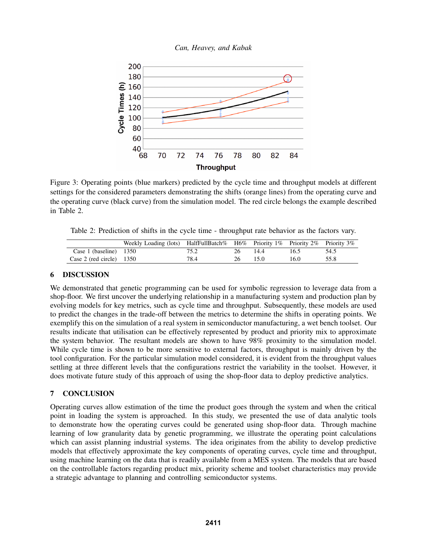



Figure 3: Operating points (blue markers) predicted by the cycle time and throughput models at different settings for the considered parameters demonstrating the shifts (orange lines) from the operating curve and the operating curve (black curve) from the simulation model. The red circle belongs the example described in Table 2.

Table 2: Prediction of shifts in the cycle time - throughput rate behavior as the factors vary.

|                            | Weekly Loading (lots) HalfFullBatch% H6% Priority $1\%$ Priority $2\%$ Priority $3\%$ |      |    |      |      |      |
|----------------------------|---------------------------------------------------------------------------------------|------|----|------|------|------|
| Case 1 (baseline) $1350$   |                                                                                       | 75.2 | 26 | 14.4 | 16.5 | 54.5 |
| Case 2 (red circle) $1350$ |                                                                                       | 78.4 |    | 15 O | 16.0 | 55.8 |

# 6 DISCUSSION

We demonstrated that genetic programming can be used for symbolic regression to leverage data from a shop-floor. We first uncover the underlying relationship in a manufacturing system and production plan by evolving models for key metrics, such as cycle time and throughput. Subsequently, these models are used to predict the changes in the trade-off between the metrics to determine the shifts in operating points. We exemplify this on the simulation of a real system in semiconductor manufacturing, a wet bench toolset. Our results indicate that utilisation can be effectively represented by product and priority mix to approximate the system behavior. The resultant models are shown to have 98% proximity to the simulation model. While cycle time is shown to be more sensitive to external factors, throughput is mainly driven by the tool configuration. For the particular simulation model considered, it is evident from the throughput values settling at three different levels that the configurations restrict the variability in the toolset. However, it does motivate future study of this approach of using the shop-floor data to deploy predictive analytics.

# 7 CONCLUSION

Operating curves allow estimation of the time the product goes through the system and when the critical point in loading the system is approached. In this study, we presented the use of data analytic tools to demonstrate how the operating curves could be generated using shop-floor data. Through machine learning of low granularity data by genetic programming, we illustrate the operating point calculations which can assist planning industrial systems. The idea originates from the ability to develop predictive models that effectively approximate the key components of operating curves, cycle time and throughput, using machine learning on the data that is readily available from a MES system. The models that are based on the controllable factors regarding product mix, priority scheme and toolset characteristics may provide a strategic advantage to planning and controlling semiconductor systems.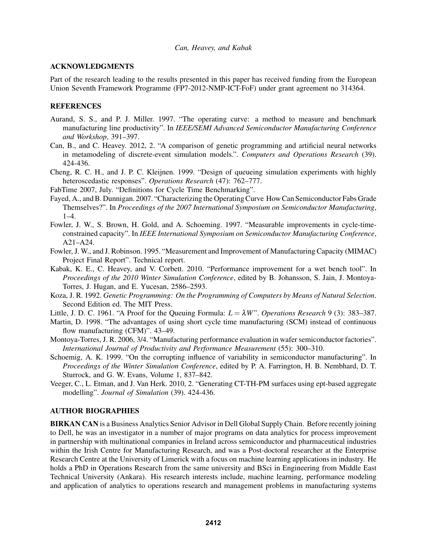### ACKNOWLEDGMENTS

Part of the research leading to the results presented in this paper has received funding from the European Union Seventh Framework Programme (FP7-2012-NMP-ICT-FoF) under grant agreement no 314364.

## REFERENCES

- Aurand, S. S., and P. J. Miller. 1997. "The operating curve: a method to measure and benchmark manufacturing line productivity". In *IEEE/SEMI Advanced Semiconductor Manufacturing Conference and Workshop*, 391–397.
- Can, B., and C. Heavey. 2012, 2. "A comparison of genetic programming and artificial neural networks in metamodeling of discrete-event simulation models.". *Computers and Operations Research* (39). 424-436.
- Cheng, R. C. H., and J. P. C. Kleijnen. 1999. "Design of queueing simulation experiments with highly heteroscedastic responses". *Operations Research* (47): 762–777.
- FabTime 2007, July. "Definitions for Cycle Time Benchmarking".
- Fayed, A., and B. Dunnigan. 2007. "Characterizing the Operating Curve How Can Semiconductor Fabs Grade Themselves?". In *Proceedings of the 2007 International Symposium on Semiconductor Manufacturing*, 1–4.
- Fowler, J. W., S. Brown, H. Gold, and A. Schoeming. 1997. "Measurable improvements in cycle-timeconstrained capacity". In *IEEE International Symposium on Semiconductor Manufacturing Conference*, A21–A24.
- Fowler, J. W., and J. Robinson. 1995. "Measurement and Improvement of Manufacturing Capacity (MIMAC) Project Final Report". Technical report.
- Kabak, K. E., C. Heavey, and V. Corbett. 2010. "Performance improvement for a wet bench tool". In *Proceedings of the 2010 Winter Simulation Conference*, edited by B. Johansson, S. Jain, J. Montoya-Torres, J. Hugan, and E. Yucesan, 2586–2593.
- Koza, J. R. 1992. *Genetic Programming: On the Programming of Computers by Means of Natural Selection*. Second Edition ed. The MIT Press.
- Little, J. D. C. 1961. "A Proof for the Queuing Formula:  $L = \lambda W$ ". *Operations Research* 9 (3): 383–387.
- Martin, D. 1998. "The advantages of using short cycle time manufacturing (SCM) instead of continuous flow manufacturing (CFM)". 43-49.
- Montoya-Torres, J. R. 2006, 3/4. "Manufacturing performance evaluation in wafer semiconductor factories". *International Journal of Productivity and Performance Measurement* (55): 300–310.
- Schoemig, A. K. 1999. "On the corrupting influence of variability in semiconductor manufacturing". In *Proceedings of the Winter Simulation Conference*, edited by P. A. Farrington, H. B. Nembhard, D. T. Sturrock, and G. W. Evans, Volume 1, 837–842.
- Veeger, C., L. Etman, and J. Van Herk. 2010, 2. "Generating CT-TH-PM surfaces using ept-based aggregate modelling". *Journal of Simulation* (39). 424-436.

# AUTHOR BIOGRAPHIES

BIRKAN CAN is a Business Analytics Senior Advisor in Dell Global Supply Chain. Before recently joining to Dell, he was an investigator in a number of major programs on data analytics for process improvement in partnership with multinational companies in Ireland across semiconductor and pharmaceutical industries within the Irish Centre for Manufacturing Research, and was a Post-doctoral researcher at the Enterprise Research Centre at the University of Limerick with a focus on machine learning applications in industry. He holds a PhD in Operations Research from the same university and BSci in Engineering from Middle East Technical University (Ankara). His research interests include, machine learning, performance modeling and application of analytics to operations research and management problems in manufacturing systems